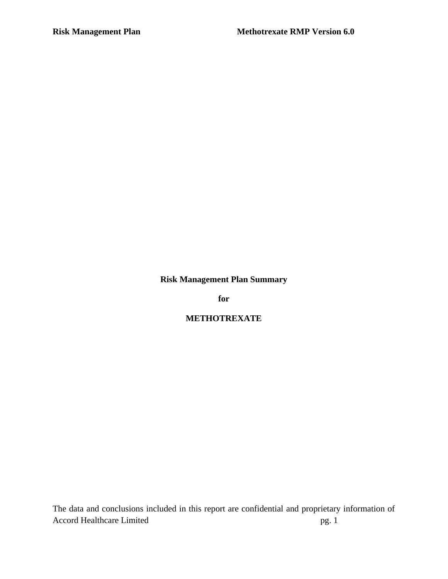**Risk Management Plan Summary**

**for**

**METHOTREXATE**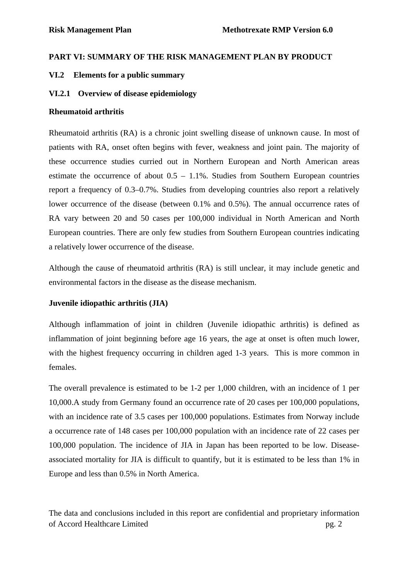## **PART VI: SUMMARY OF THE RISK MANAGEMENT PLAN BY PRODUCT**

## **VI.2 Elements for a public summary**

#### **VI.2.1 Overview of disease epidemiology**

#### **Rheumatoid arthritis**

Rheumatoid arthritis (RA) is a chronic joint swelling disease of unknown cause. In most of patients with RA, onset often begins with fever, weakness and joint pain. The majority of these occurrence studies curried out in Northern European and North American areas estimate the occurrence of about 0.5 – 1.1%. Studies from Southern European countries report a frequency of 0.3–0.7%. Studies from developing countries also report a relatively lower occurrence of the disease (between 0.1% and 0.5%). The annual occurrence rates of RA vary between 20 and 50 cases per 100,000 individual in North American and North European countries. There are only few studies from Southern European countries indicating a relatively lower occurrence of the disease.

Although the cause of rheumatoid arthritis (RA) is still unclear, it may include genetic and environmental factors in the disease as the disease mechanism.

## **Juvenile idiopathic arthritis (JIA)**

Although inflammation of joint in children (Juvenile idiopathic arthritis) is defined as inflammation of joint beginning before age 16 years, the age at onset is often much lower, with the highest frequency occurring in children aged 1-3 years. This is more common in females.

The overall prevalence is estimated to be 1-2 per 1,000 children, with an incidence of 1 per 10,000.A study from Germany found an occurrence rate of 20 cases per 100,000 populations, with an incidence rate of 3.5 cases per 100,000 populations. Estimates from Norway include a occurrence rate of 148 cases per 100,000 population with an incidence rate of 22 cases per 100,000 population. The incidence of JIA in Japan has been reported to be low. Diseaseassociated mortality for JIA is difficult to quantify, but it is estimated to be less than 1% in Europe and less than 0.5% in North America.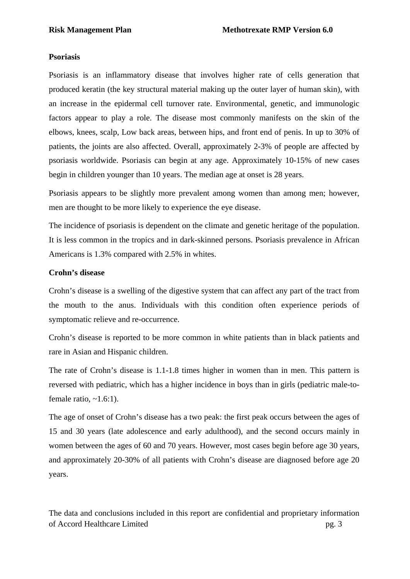#### **Psoriasis**

Psoriasis is an inflammatory disease that involves higher rate of cells generation that produced keratin (the key structural material making up the outer layer of human skin), with an increase in the epidermal cell turnover rate. Environmental, genetic, and immunologic factors appear to play a role. The disease most commonly manifests on the skin of the elbows, knees, scalp, Low back areas, between hips, and front end of penis. In up to 30% of patients, the joints are also affected. Overall, approximately 2-3% of people are affected by psoriasis worldwide. Psoriasis can begin at any age. Approximately 10-15% of new cases begin in children younger than 10 years. The median age at onset is 28 years.

Psoriasis appears to be slightly more prevalent among women than among men; however, men are thought to be more likely to experience the eye disease.

The incidence of psoriasis is dependent on the climate and genetic heritage of the population. It is less common in the tropics and in dark-skinned persons. Psoriasis prevalence in African Americans is 1.3% compared with 2.5% in whites.

#### **Crohn's disease**

Crohn's disease is a swelling of the digestive system that can affect any part of the tract from the mouth to the anus. Individuals with this condition often experience periods of symptomatic relieve and re-occurrence.

Crohn's disease is reported to be more common in white patients than in black patients and rare in Asian and Hispanic children.

The rate of Crohn's disease is 1.1-1.8 times higher in women than in men. This pattern is reversed with pediatric, which has a higher incidence in boys than in girls (pediatric male-tofemale ratio,  $~1.6:1$ ).

The age of onset of Crohn's disease has a two peak: the first peak occurs between the ages of 15 and 30 years (late adolescence and early adulthood), and the second occurs mainly in women between the ages of 60 and 70 years. However, most cases begin before age 30 years, and approximately 20-30% of all patients with Crohn's disease are diagnosed before age 20 years.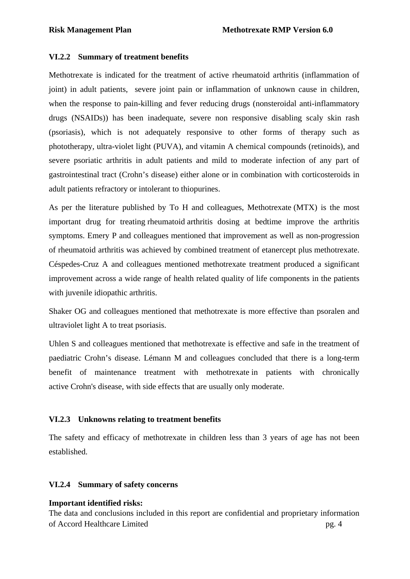## **VI.2.2 Summary of treatment benefits**

Methotrexate is indicated for the treatment of active rheumatoid arthritis (inflammation of joint) in adult patients, severe joint pain or inflammation of unknown cause in children, when the response to pain-killing and fever reducing drugs (nonsteroidal anti-inflammatory drugs (NSAIDs)) has been inadequate, severe non responsive disabling scaly skin rash (psoriasis), which is not adequately responsive to other forms of therapy such as phototherapy, ultra-violet light (PUVA), and vitamin A chemical compounds (retinoids), and severe psoriatic arthritis in adult patients and mild to moderate infection of any part of gastrointestinal tract (Crohn's disease) either alone or in combination with corticosteroids in adult patients refractory or intolerant to thiopurines.

As per the literature published by To H and colleagues, Methotrexate (MTX) is the most important drug for treating rheumatoid arthritis dosing at bedtime improve the arthritis symptoms. Emery P and colleagues mentioned that improvement as well as non-progression of rheumatoid arthritis was achieved by combined treatment of etanercept plus methotrexate. Céspedes-Cruz A and colleagues mentioned methotrexate treatment produced a significant improvement across a wide range of health related quality of life components in the patients with juvenile idiopathic arthritis.

Shaker OG and colleagues mentioned that methotrexate is more effective than psoralen and ultraviolet light A to treat psoriasis.

Uhlen S and colleagues mentioned that methotrexate is effective and safe in the treatment of paediatric Crohn's disease. Lémann M and colleagues concluded that there is a long-term benefit of maintenance treatment with methotrexate in patients with chronically active Crohn's disease, with side effects that are usually only moderate.

## **VI.2.3 Unknowns relating to treatment benefits**

The safety and efficacy of methotrexate in children less than 3 years of age has not been established.

## **VI.2.4 Summary of safety concerns**

## **Important identified risks:**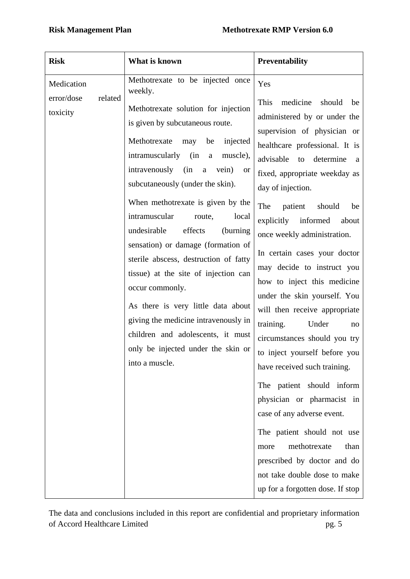| <b>Risk</b>                          |         | What is known                                                                                                                                                                                                                                                                                                                                                                                                                                                                                                                                                                                                                                                                                   | <b>Preventability</b>                                                                                                                                                                                                                                                                                                                                                                                                                                                                                                                                          |
|--------------------------------------|---------|-------------------------------------------------------------------------------------------------------------------------------------------------------------------------------------------------------------------------------------------------------------------------------------------------------------------------------------------------------------------------------------------------------------------------------------------------------------------------------------------------------------------------------------------------------------------------------------------------------------------------------------------------------------------------------------------------|----------------------------------------------------------------------------------------------------------------------------------------------------------------------------------------------------------------------------------------------------------------------------------------------------------------------------------------------------------------------------------------------------------------------------------------------------------------------------------------------------------------------------------------------------------------|
| Medication<br>error/dose<br>toxicity | related | Methotrexate to be injected once<br>weekly.<br>Methotrexate solution for injection<br>is given by subcutaneous route.<br>Methotrexate<br>may<br>injected<br>be<br>intramuscularly (in<br>muscle),<br>$\mathbf{a}$<br>intravenously<br>(in<br>vein)<br>$\mathbf a$<br><b>or</b><br>subcutaneously (under the skin).<br>When methotrexate is given by the<br>intramuscular<br>route,<br>local<br>undesirable<br>effects<br>(burning)<br>sensation) or damage (formation of<br>sterile abscess, destruction of fatty<br>tissue) at the site of injection can<br>occur commonly.<br>As there is very little data about<br>giving the medicine intravenously in<br>children and adolescents, it must | Yes<br>This<br>medicine<br>should<br>be<br>administered by or under the<br>supervision of physician or<br>healthcare professional. It is<br>advisable<br>determine<br>to<br>a<br>fixed, appropriate weekday as<br>day of injection.<br>The<br>patient<br>should<br>be<br>explicitly informed<br>about<br>once weekly administration.<br>In certain cases your doctor<br>may decide to instruct you<br>how to inject this medicine<br>under the skin yourself. You<br>will then receive appropriate<br>training.<br>Under<br>no<br>circumstances should you try |
|                                      |         | only be injected under the skin or<br>into a muscle.                                                                                                                                                                                                                                                                                                                                                                                                                                                                                                                                                                                                                                            | to inject yourself before you<br>have received such training.<br>The patient should inform<br>physician or pharmacist in<br>case of any adverse event.<br>The patient should not use<br>methotrexate<br>than<br>more<br>prescribed by doctor and do<br>not take double dose to make<br>up for a forgotten dose. If stop                                                                                                                                                                                                                                        |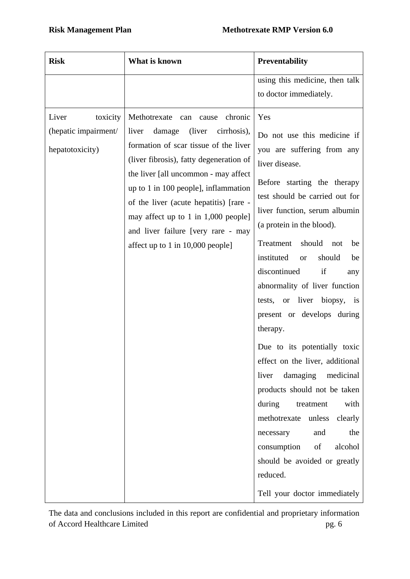| <b>Risk</b>                                                  | What is known                                                                                                                                                                                                                                                                                                                                                                                                      | <b>Preventability</b>                                                                                                                                                                                                                                                                                                                                                                                                                                                                                                                                                                                                                                                                                                                                                                  |
|--------------------------------------------------------------|--------------------------------------------------------------------------------------------------------------------------------------------------------------------------------------------------------------------------------------------------------------------------------------------------------------------------------------------------------------------------------------------------------------------|----------------------------------------------------------------------------------------------------------------------------------------------------------------------------------------------------------------------------------------------------------------------------------------------------------------------------------------------------------------------------------------------------------------------------------------------------------------------------------------------------------------------------------------------------------------------------------------------------------------------------------------------------------------------------------------------------------------------------------------------------------------------------------------|
|                                                              |                                                                                                                                                                                                                                                                                                                                                                                                                    | using this medicine, then talk<br>to doctor immediately.                                                                                                                                                                                                                                                                                                                                                                                                                                                                                                                                                                                                                                                                                                                               |
| Liver<br>toxicity<br>(hepatic impairment/<br>hepatotoxicity) | Methotrexate<br>chronic<br>can<br>cause<br>(liver<br>damage<br>liver<br>cirrhosis),<br>formation of scar tissue of the liver<br>(liver fibrosis), fatty degeneration of<br>the liver [all uncommon - may affect<br>up to 1 in 100 people], inflammation<br>of the liver (acute hepatitis) [rare -<br>may affect up to 1 in 1,000 people]<br>and liver failure [very rare - may<br>affect up to 1 in 10,000 people] | Yes<br>Do not use this medicine if<br>you are suffering from any<br>liver disease.<br>Before starting the therapy<br>test should be carried out for<br>liver function, serum albumin<br>(a protein in the blood).<br>Treatment<br>should<br>not<br>be<br>instituted<br>should<br>be<br><b>or</b><br>if<br>discontinued<br>any<br>abnormality of liver function<br>tests, or liver biopsy, is<br>present or develops during<br>therapy.<br>Due to its potentially toxic<br>effect on the liver, additional<br>damaging<br>liver<br>medicinal<br>products should not be taken<br>with<br>during<br>treatment<br>methotrexate<br>unless<br>clearly<br>the<br>and<br>necessary<br>alcohol<br>consumption<br>of<br>should be avoided or greatly<br>reduced.<br>Tell your doctor immediately |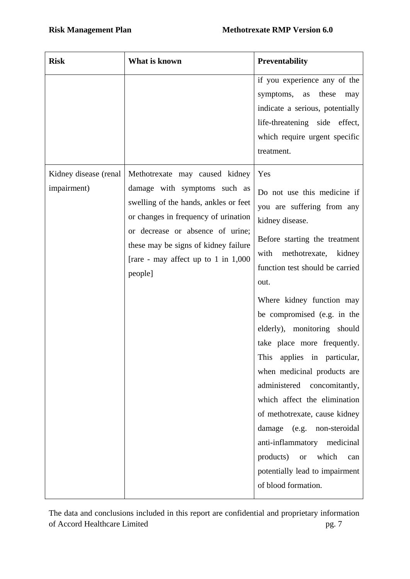| <b>Risk</b>                          | What is known                                                                                                                                                                                                                                                                   | <b>Preventability</b>                                                                                                                                                                                                                                                                                                                                                                                                                                                                                                                                                                                                                                      |
|--------------------------------------|---------------------------------------------------------------------------------------------------------------------------------------------------------------------------------------------------------------------------------------------------------------------------------|------------------------------------------------------------------------------------------------------------------------------------------------------------------------------------------------------------------------------------------------------------------------------------------------------------------------------------------------------------------------------------------------------------------------------------------------------------------------------------------------------------------------------------------------------------------------------------------------------------------------------------------------------------|
|                                      |                                                                                                                                                                                                                                                                                 | if you experience any of the<br>these<br>symptoms,<br>as<br>may<br>indicate a serious, potentially<br>life-threatening side effect,<br>which require urgent specific<br>treatment.                                                                                                                                                                                                                                                                                                                                                                                                                                                                         |
| Kidney disease (renal<br>impairment) | Methotrexate may caused kidney<br>damage with symptoms such as<br>swelling of the hands, ankles or feet<br>or changes in frequency of urination<br>or decrease or absence of urine;<br>these may be signs of kidney failure<br>[rare - may affect up to 1 in $1,000$<br>people] | Yes<br>Do not use this medicine if<br>you are suffering from any<br>kidney disease.<br>Before starting the treatment<br>with<br>methotrexate, kidney<br>function test should be carried<br>out.<br>Where kidney function may<br>be compromised (e.g. in the<br>elderly), monitoring should<br>take place more frequently.<br>This applies in particular,<br>when medicinal products are<br>administered<br>concomitantly,<br>which affect the elimination<br>of methotrexate, cause kidney<br>damage (e.g. non-steroidal<br>anti-inflammatory medicinal<br>products)<br>which<br><b>or</b><br>can<br>potentially lead to impairment<br>of blood formation. |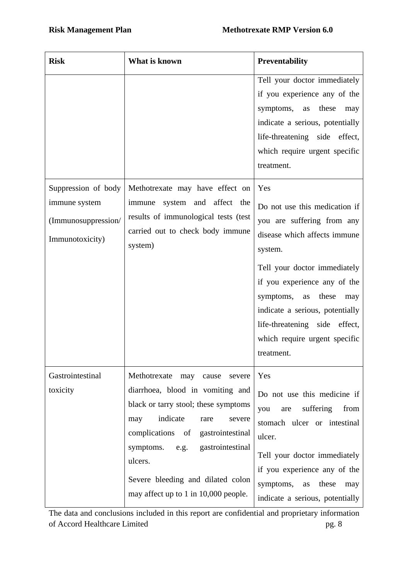| <b>Risk</b>                                                                    | What is known                                                                                                                                                                                                                                                                                                           | <b>Preventability</b>                                                                                                                                                                                                                                                                                                               |
|--------------------------------------------------------------------------------|-------------------------------------------------------------------------------------------------------------------------------------------------------------------------------------------------------------------------------------------------------------------------------------------------------------------------|-------------------------------------------------------------------------------------------------------------------------------------------------------------------------------------------------------------------------------------------------------------------------------------------------------------------------------------|
|                                                                                |                                                                                                                                                                                                                                                                                                                         | Tell your doctor immediately<br>if you experience any of the<br>symptoms,<br>these<br>as<br>may<br>indicate a serious, potentially<br>life-threatening side effect,<br>which require urgent specific<br>treatment.                                                                                                                  |
| Suppression of body<br>immune system<br>(Immunosuppression/<br>Immunotoxicity) | Methotrexate may have effect on<br>system and affect the<br>immune<br>results of immunological tests (test<br>carried out to check body immune<br>system)                                                                                                                                                               | Yes<br>Do not use this medication if<br>you are suffering from any<br>disease which affects immune<br>system.<br>Tell your doctor immediately<br>if you experience any of the<br>symptoms,<br>these<br>as<br>may<br>indicate a serious, potentially<br>life-threatening side effect,<br>which require urgent specific<br>treatment. |
| Gastrointestinal<br>toxicity                                                   | Methotrexate<br>may<br>cause<br>severe<br>diarrhoea, blood in vomiting and<br>black or tarry stool; these symptoms<br>indicate<br>may<br>rare<br>severe<br>complications of gastrointestinal<br>symptoms. e.g. gastrointestinal<br>ulcers.<br>Severe bleeding and dilated colon<br>may affect up to 1 in 10,000 people. | Yes<br>Do not use this medicine if<br>suffering<br>from<br>you<br>are<br>stomach ulcer or intestinal<br>ulcer.<br>Tell your doctor immediately<br>if you experience any of the<br>symptoms,<br>these<br>as<br>may<br>indicate a serious, potentially                                                                                |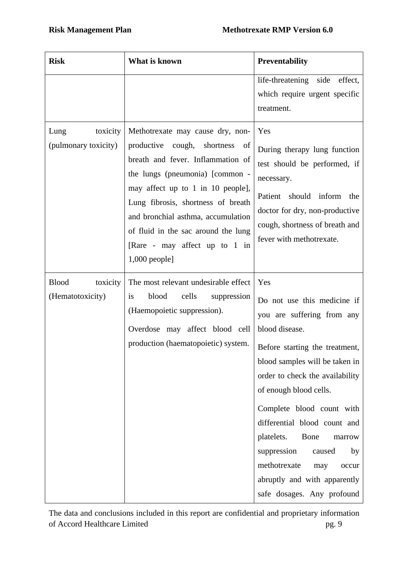| <b>Risk</b>                                  | What is known                                                                                                                                                                                                                                                                                                                                                | Preventability                                                                                                                                                                                                                                                                                                                                                                                                                                |
|----------------------------------------------|--------------------------------------------------------------------------------------------------------------------------------------------------------------------------------------------------------------------------------------------------------------------------------------------------------------------------------------------------------------|-----------------------------------------------------------------------------------------------------------------------------------------------------------------------------------------------------------------------------------------------------------------------------------------------------------------------------------------------------------------------------------------------------------------------------------------------|
|                                              |                                                                                                                                                                                                                                                                                                                                                              | life-threatening side<br>effect,<br>which require urgent specific<br>treatment.                                                                                                                                                                                                                                                                                                                                                               |
| toxicity<br>Lung<br>(pulmonary toxicity)     | Methotrexate may cause dry, non-<br>productive<br>of<br>cough, shortness<br>breath and fever. Inflammation of<br>the lungs (pneumonia) [common -<br>may affect up to 1 in 10 people],<br>Lung fibrosis, shortness of breath<br>and bronchial asthma, accumulation<br>of fluid in the sac around the lung<br>[Rare - may affect up to 1 in<br>$1,000$ people] | Yes<br>During therapy lung function<br>test should be performed, if<br>necessary.<br>Patient should inform<br>the<br>doctor for dry, non-productive<br>cough, shortness of breath and<br>fever with methotrexate.                                                                                                                                                                                                                             |
| <b>Blood</b><br>toxicity<br>(Hematotoxicity) | The most relevant undesirable effect<br>blood<br>cells<br>suppression<br>is<br>(Haemopoietic suppression).<br>Overdose may affect blood cell<br>production (haematopoietic) system.                                                                                                                                                                          | Yes<br>Do not use this medicine if<br>you are suffering from any<br>blood disease.<br>Before starting the treatment,<br>blood samples will be taken in<br>order to check the availability<br>of enough blood cells.<br>Complete blood count with<br>differential blood count and<br>platelets.<br>Bone<br>marrow<br>suppression<br>caused<br>by<br>methotrexate<br>may<br>occur<br>abruptly and with apparently<br>safe dosages. Any profound |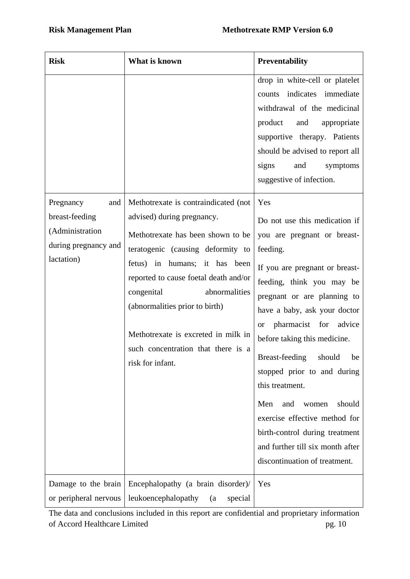| <b>Risk</b>                                                                                 | What is known                                                                                                                                                                                                                                                                                                                                                                            | <b>Preventability</b>                                                                                                                                                                                                                                                                                                                                                                                                                                                                                                                      |
|---------------------------------------------------------------------------------------------|------------------------------------------------------------------------------------------------------------------------------------------------------------------------------------------------------------------------------------------------------------------------------------------------------------------------------------------------------------------------------------------|--------------------------------------------------------------------------------------------------------------------------------------------------------------------------------------------------------------------------------------------------------------------------------------------------------------------------------------------------------------------------------------------------------------------------------------------------------------------------------------------------------------------------------------------|
|                                                                                             |                                                                                                                                                                                                                                                                                                                                                                                          | drop in white-cell or platelet<br>indicates immediate<br>counts<br>withdrawal of the medicinal<br>product<br>and<br>appropriate<br>supportive therapy. Patients<br>should be advised to report all<br>signs<br>and<br>symptoms<br>suggestive of infection.                                                                                                                                                                                                                                                                                 |
| Pregnancy<br>and<br>breast-feeding<br>(Administration<br>during pregnancy and<br>lactation) | Methotrexate is contraindicated (not<br>advised) during pregnancy.<br>Methotrexate has been shown to be<br>teratogenic (causing deformity to<br>fetus) in humans; it has been<br>reported to cause foetal death and/or<br>congenital<br>abnormalities<br>(abnormalities prior to birth)<br>Methotrexate is excreted in milk in<br>such concentration that there is a<br>risk for infant. | Yes<br>Do not use this medication if<br>you are pregnant or breast-<br>feeding.<br>If you are pregnant or breast-<br>feeding, think you may be<br>pregnant or are planning to<br>have a baby, ask your doctor<br>pharmacist for advice<br><b>or</b><br>before taking this medicine.<br>Breast-feeding should be<br>stopped prior to and during<br>this treatment.<br>Men<br>should<br>and<br>women<br>exercise effective method for<br>birth-control during treatment<br>and further till six month after<br>discontinuation of treatment. |
| Damage to the brain<br>or peripheral nervous                                                | Encephalopathy (a brain disorder)/<br>leukoencephalopathy<br>special<br>(a)                                                                                                                                                                                                                                                                                                              | Yes                                                                                                                                                                                                                                                                                                                                                                                                                                                                                                                                        |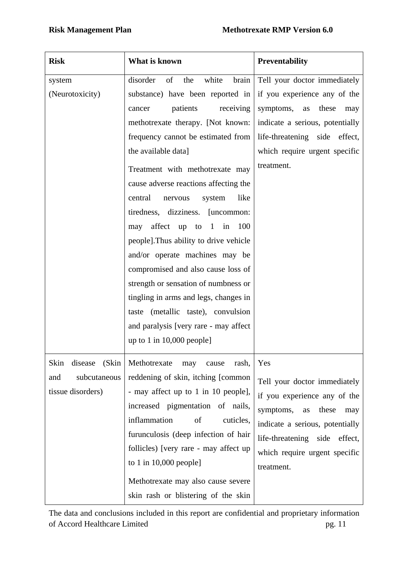| <b>Risk</b>                                                          | What is known                                                                                                                                                                                                                                                                                                                                                                                                                                                                                                                                                                                                                                                                                                                                      | <b>Preventability</b>                                                                                                                                                                                                     |
|----------------------------------------------------------------------|----------------------------------------------------------------------------------------------------------------------------------------------------------------------------------------------------------------------------------------------------------------------------------------------------------------------------------------------------------------------------------------------------------------------------------------------------------------------------------------------------------------------------------------------------------------------------------------------------------------------------------------------------------------------------------------------------------------------------------------------------|---------------------------------------------------------------------------------------------------------------------------------------------------------------------------------------------------------------------------|
| system<br>(Neurotoxicity)                                            | disorder<br>white<br>of<br>the<br>brain<br>substance) have been reported in<br>patients<br>receiving<br>cancer<br>methotrexate therapy. [Not known:<br>frequency cannot be estimated from<br>the available data]<br>Treatment with methotrexate may<br>cause adverse reactions affecting the<br>like<br>central<br>system<br>nervous<br>tiredness, dizziness. [uncommon:<br>affect up<br>100<br>to<br>$\overline{1}$<br>in<br>may<br>people]. Thus ability to drive vehicle<br>and/or operate machines may be<br>compromised and also cause loss of<br>strength or sensation of numbness or<br>tingling in arms and legs, changes in<br>taste (metallic taste), convulsion<br>and paralysis [very rare - may affect<br>up to 1 in $10,000$ people] | Tell your doctor immediately<br>if you experience any of the<br>symptoms,<br>these<br>as<br>may<br>indicate a serious, potentially<br>life-threatening side effect,<br>which require urgent specific<br>treatment.        |
| Skin<br>(Skin<br>disease<br>and<br>subcutaneous<br>tissue disorders) | Methotrexate<br>may<br>rash,<br>cause<br>reddening of skin, itching [common<br>- may affect up to 1 in 10 people],<br>increased pigmentation of nails,<br>inflammation<br>of<br>cuticles,<br>furunculosis (deep infection of hair<br>follicles) [very rare - may affect up<br>to 1 in $10,000$ people]<br>Methotrexate may also cause severe<br>skin rash or blistering of the skin                                                                                                                                                                                                                                                                                                                                                                | Yes<br>Tell your doctor immediately<br>if you experience any of the<br>symptoms,<br>these<br>as<br>may<br>indicate a serious, potentially<br>life-threatening side effect,<br>which require urgent specific<br>treatment. |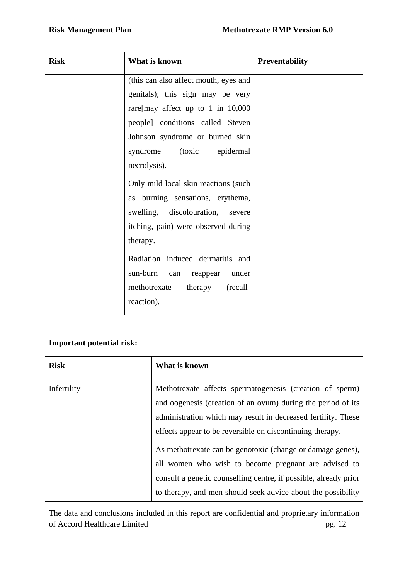| <b>Risk</b> | What is known                         | <b>Preventability</b> |
|-------------|---------------------------------------|-----------------------|
|             | (this can also affect mouth, eyes and |                       |
|             | genitals); this sign may be very      |                       |
|             | rare[may affect up to 1 in $10,000$   |                       |
|             | people] conditions called Steven      |                       |
|             | Johnson syndrome or burned skin       |                       |
|             | syndrome (toxic<br>epidermal          |                       |
|             | necrolysis).                          |                       |
|             | Only mild local skin reactions (such  |                       |
|             | as burning sensations, erythema,      |                       |
|             | swelling, discolouration,<br>severe   |                       |
|             | itching, pain) were observed during   |                       |
|             | therapy.                              |                       |
|             | Radiation induced dermatitis and      |                       |
|             | sun-burn<br>under<br>reappear<br>can  |                       |
|             | methotrexate<br>(recall-<br>therapy   |                       |
|             | reaction).                            |                       |

## **Important potential risk:**

| <b>Risk</b>                                                                                                                                                                                                                                                           | What is known                                                                                                                                                                                                                                          |
|-----------------------------------------------------------------------------------------------------------------------------------------------------------------------------------------------------------------------------------------------------------------------|--------------------------------------------------------------------------------------------------------------------------------------------------------------------------------------------------------------------------------------------------------|
| Infertility<br>Methotrexate affects spermatogenesis (creation of sperm)<br>and oogenesis (creation of an ovum) during the period of its<br>administration which may result in decreased fertility. These<br>effects appear to be reversible on discontinuing therapy. |                                                                                                                                                                                                                                                        |
|                                                                                                                                                                                                                                                                       | As methotrexate can be genotoxic (change or damage genes),<br>all women who wish to become pregnant are advised to<br>consult a genetic counselling centre, if possible, already prior<br>to therapy, and men should seek advice about the possibility |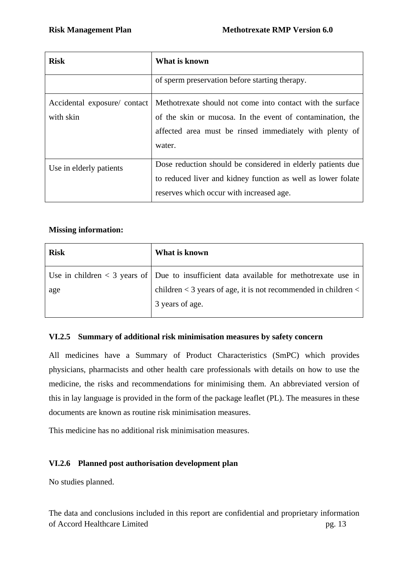| <b>Risk</b>                 | What is known                                                |  |
|-----------------------------|--------------------------------------------------------------|--|
|                             | of sperm preservation before starting therapy.               |  |
| Accidental exposure/contact | Methotrexate should not come into contact with the surface   |  |
| with skin                   | of the skin or mucosa. In the event of contamination, the    |  |
|                             | affected area must be rinsed immediately with plenty of      |  |
|                             | water.                                                       |  |
| Use in elderly patients     | Dose reduction should be considered in elderly patients due  |  |
|                             | to reduced liver and kidney function as well as lower folate |  |
|                             | reserves which occur with increased age.                     |  |

# **Missing information:**

| <b>Risk</b> | What is known                                                                               |
|-------------|---------------------------------------------------------------------------------------------|
|             | Use in children $\lt$ 3 years of Due to insufficient data available for methotrexate use in |
| age         | children $<$ 3 years of age, it is not recommended in children $<$                          |
|             | 3 years of age.                                                                             |

# **VI.2.5 Summary of additional risk minimisation measures by safety concern**

All medicines have a Summary of Product Characteristics (SmPC) which provides physicians, pharmacists and other health care professionals with details on how to use the medicine, the risks and recommendations for minimising them. An abbreviated version of this in lay language is provided in the form of the package leaflet (PL). The measures in these documents are known as routine risk minimisation measures.

This medicine has no additional risk minimisation measures.

# **VI.2.6 Planned post authorisation development plan**

No studies planned.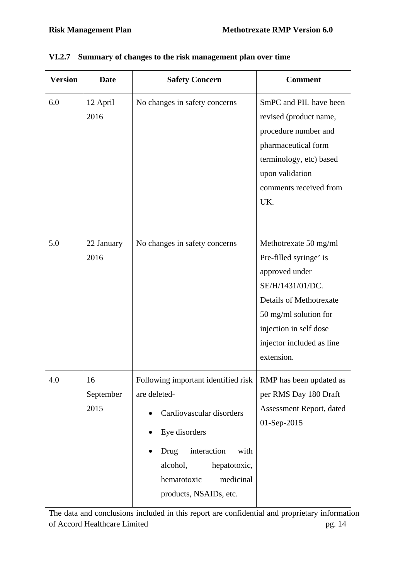| <b>Version</b> | <b>Date</b>             | <b>Safety Concern</b>                                                                                                                                                                                             | <b>Comment</b>                                                                                                                                                                                                        |
|----------------|-------------------------|-------------------------------------------------------------------------------------------------------------------------------------------------------------------------------------------------------------------|-----------------------------------------------------------------------------------------------------------------------------------------------------------------------------------------------------------------------|
| 6.0            | 12 April<br>2016        | No changes in safety concerns                                                                                                                                                                                     | SmPC and PIL have been<br>revised (product name,<br>procedure number and<br>pharmaceutical form<br>terminology, etc) based<br>upon validation<br>comments received from<br>UK.                                        |
| 5.0            | 22 January<br>2016      | No changes in safety concerns                                                                                                                                                                                     | Methotrexate 50 mg/ml<br>Pre-filled syringe' is<br>approved under<br>SE/H/1431/01/DC.<br><b>Details of Methotrexate</b><br>50 mg/ml solution for<br>injection in self dose<br>injector included as line<br>extension. |
| 4.0            | 16<br>September<br>2015 | Following important identified risk<br>are deleted-<br>Cardiovascular disorders<br>Eye disorders<br>interaction<br>Drug<br>with<br>alcohol,<br>hepatotoxic,<br>medicinal<br>hematotoxic<br>products, NSAIDs, etc. | <b>RMP</b> has been updated as<br>per RMS Day 180 Draft<br>Assessment Report, dated<br>01-Sep-2015                                                                                                                    |

# **VI.2.7 Summary of changes to the risk management plan over time**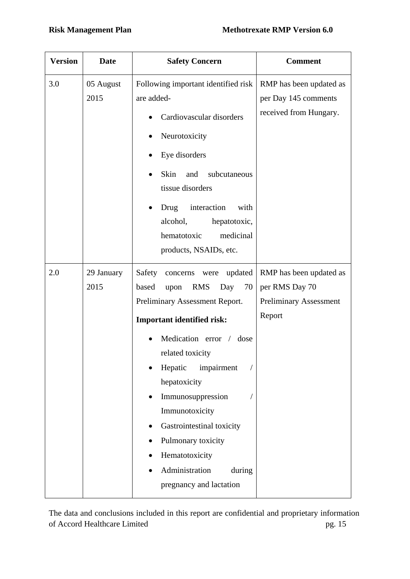| <b>Version</b> | <b>Date</b>        | <b>Safety Concern</b>                                                                                                                                                                                                                                                                                                                                                                                                                   | <b>Comment</b>                                                                       |
|----------------|--------------------|-----------------------------------------------------------------------------------------------------------------------------------------------------------------------------------------------------------------------------------------------------------------------------------------------------------------------------------------------------------------------------------------------------------------------------------------|--------------------------------------------------------------------------------------|
| 3.0            | 05 August<br>2015  | Following important identified risk<br>are added-<br>Cardiovascular disorders<br>Neurotoxicity<br>٠<br>Eye disorders<br>Skin<br>and<br>subcutaneous<br>tissue disorders<br>interaction<br>Drug<br>with<br>alcohol,<br>hepatotoxic,<br>medicinal<br>hematotoxic<br>products, NSAIDs, etc.                                                                                                                                                | RMP has been updated as<br>per Day 145 comments<br>received from Hungary.            |
| 2.0            | 29 January<br>2015 | Safety concerns were updated<br>based<br><b>RMS</b><br>Day<br>70<br>upon<br>Preliminary Assessment Report.<br><b>Important identified risk:</b><br>Medication error /<br>dose<br>$\bullet$<br>related toxicity<br>Hepatic<br>impairment<br>hepatoxicity<br>Immunosuppression<br>$\bullet$<br>Immunotoxicity<br>Gastrointestinal toxicity<br>Pulmonary toxicity<br>Hematotoxicity<br>Administration<br>during<br>pregnancy and lactation | RMP has been updated as<br>per RMS Day 70<br><b>Preliminary Assessment</b><br>Report |